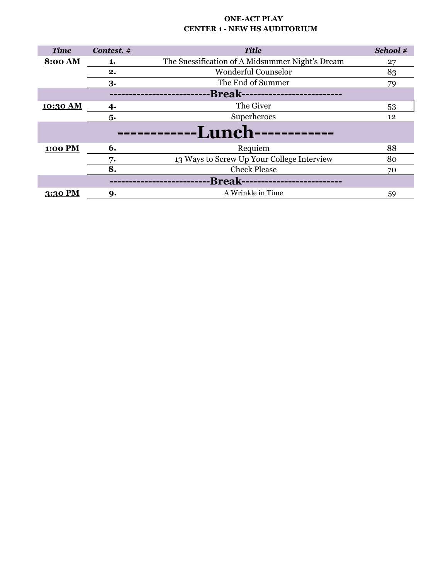| <b>ONE-ACT PLAY</b>                 |
|-------------------------------------|
| <b>CENTER 1 - NEW HS AUDITORIUM</b> |

| <b>Time</b>    | Contest. $#$ | <b>Title</b>                                    | School # |
|----------------|--------------|-------------------------------------------------|----------|
| <b>8:00 AM</b> | 1.           | The Suessification of A Midsummer Night's Dream | 27       |
|                | 2.           | <b>Wonderful Counselor</b>                      | 83       |
|                | 3.           | The End of Summer                               | 79       |
|                |              | -Break-----                                     |          |
| 10:30 AM       | 4.           | The Giver                                       | 53       |
|                | 5.           | Superheroes                                     | 12       |
|                |              | <b>-Lunch-</b>                                  |          |
| 1:00 PM        | 6.           | Requiem                                         | 88       |
|                | 7.           | 13 Ways to Screw Up Your College Interview      | 80       |
|                | 8.           | <b>Check Please</b>                             | 70       |
|                |              | -Break--------------                            |          |
| 3:30 PM        | 9.           | A Wrinkle in Time                               | 59       |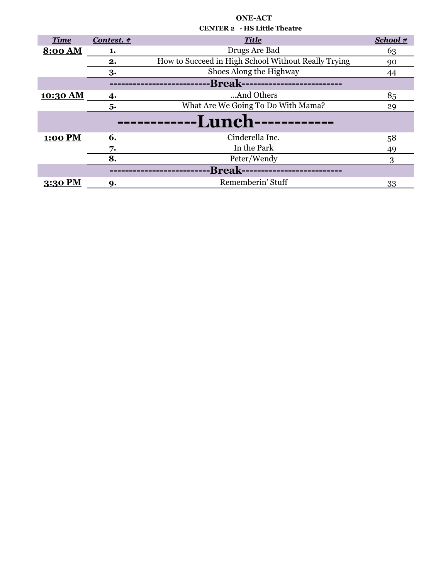| <b>Title</b><br>School #<br><b>Time</b><br>Contest. #<br>Drugs Are Bad<br>8:00 AM<br>63<br>1.<br>How to Succeed in High School Without Really Trying<br>2.<br>90<br>Shoes Along the Highway<br>3.<br>44<br>-Break---------------------------<br>And Others<br>85<br>10:30 AM<br>4.<br>What Are We Going To Do With Mama?<br>5.<br>29<br><b>-Lunch------------</b><br>Cinderella Inc.<br>6.<br>1:00 PM<br>58<br>In the Park<br>7.<br>49<br>8.<br>Peter/Wendy<br>3<br>-Break- |         |    |                   |    |
|-----------------------------------------------------------------------------------------------------------------------------------------------------------------------------------------------------------------------------------------------------------------------------------------------------------------------------------------------------------------------------------------------------------------------------------------------------------------------------|---------|----|-------------------|----|
|                                                                                                                                                                                                                                                                                                                                                                                                                                                                             |         |    |                   |    |
|                                                                                                                                                                                                                                                                                                                                                                                                                                                                             |         |    |                   |    |
|                                                                                                                                                                                                                                                                                                                                                                                                                                                                             |         |    |                   |    |
|                                                                                                                                                                                                                                                                                                                                                                                                                                                                             |         |    |                   |    |
|                                                                                                                                                                                                                                                                                                                                                                                                                                                                             |         |    |                   |    |
|                                                                                                                                                                                                                                                                                                                                                                                                                                                                             |         |    |                   |    |
|                                                                                                                                                                                                                                                                                                                                                                                                                                                                             |         |    |                   |    |
|                                                                                                                                                                                                                                                                                                                                                                                                                                                                             |         |    |                   |    |
|                                                                                                                                                                                                                                                                                                                                                                                                                                                                             |         |    |                   |    |
|                                                                                                                                                                                                                                                                                                                                                                                                                                                                             |         |    |                   |    |
|                                                                                                                                                                                                                                                                                                                                                                                                                                                                             |         |    |                   |    |
|                                                                                                                                                                                                                                                                                                                                                                                                                                                                             |         |    |                   |    |
|                                                                                                                                                                                                                                                                                                                                                                                                                                                                             | 3:30 PM | 9. | Rememberin' Stuff | 33 |

## **ONE-ACT CENTER 2 - HS Little Theatre**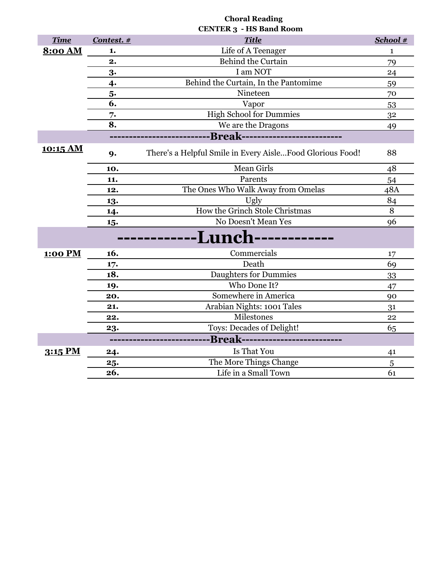|             |            | <b>CENTER 3 - HS Band Room</b>                            |              |
|-------------|------------|-----------------------------------------------------------|--------------|
| <b>Time</b> | Contest. # | <b>Title</b>                                              | School #     |
| 8:00 AM     | 1.         | Life of A Teenager                                        | $\mathbf{1}$ |
|             | 2.         | <b>Behind the Curtain</b>                                 | 79           |
|             | 3.         | I am NOT                                                  | 24           |
|             | 4.         | Behind the Curtain, In the Pantomime                      | 59           |
|             | 5.         | Nineteen                                                  | 70           |
|             | 6.         | Vapor                                                     | 53           |
|             | 7.         | <b>High School for Dummies</b>                            | 32           |
|             | 8.         | We are the Dragons                                        | 49           |
|             |            | -Break--------------------------                          |              |
| 10:15 AM    | 9.         | There's a Helpful Smile in Every AisleFood Glorious Food! | 88           |
|             | 10.        | <b>Mean Girls</b>                                         | 48           |
|             | 11.        | Parents                                                   | 54           |
|             | 12.        | The Ones Who Walk Away from Omelas                        | 48A          |
|             | 13.        | Ugly                                                      | 84           |
|             | 14.        | How the Grinch Stole Christmas                            | 8            |
|             | 15.        | No Doesn't Mean Yes                                       | 96           |
|             |            | <b>·Lunch-</b>                                            |              |
| 1:00 PM     | 16.        | Commercials                                               | 17           |
|             | 17.        | Death                                                     | 69           |
|             | 18.        | <b>Daughters for Dummies</b>                              | 33           |
|             | 19.        | Who Done It?                                              | 47           |
|             | 20.        | Somewhere in America                                      | 90           |
|             | 21.        | Arabian Nights: 1001 Tales                                | 31           |
|             | 22.        | Milestones                                                | 22           |
|             | 23.        | Toys: Decades of Delight!                                 | 65           |
|             |            | -Break--------------------------                          |              |
| 3:15 PM     | 24.        | Is That You                                               | 41           |
|             | 25.        | The More Things Change                                    | 5            |
|             | 26.        | Life in a Small Town                                      | 61           |

**Choral Reading**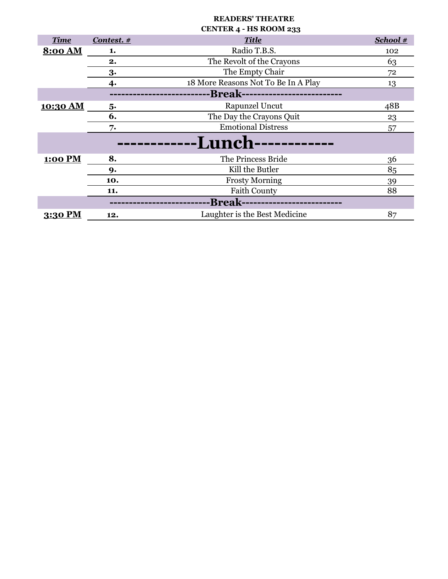|                |              | UEN I EN 4 - HO NUUM 233            |            |
|----------------|--------------|-------------------------------------|------------|
| <b>Time</b>    | Contest. $#$ | <b>Title</b>                        | School $#$ |
| <b>8:00 AM</b> | 1.           | Radio T.B.S.                        | 102        |
|                | 2.           | The Revolt of the Crayons           | 63         |
|                | 3.           | The Empty Chair                     | 72         |
|                | 4.           | 18 More Reasons Not To Be In A Play | 13         |
|                |              | -Break---------------------------   |            |
| 10:30 AM       | 5.           | Rapunzel Uncut                      | 48B        |
|                | 6.           | The Day the Crayons Quit            | 23         |
|                | 7.           | <b>Emotional Distress</b>           | 57         |
|                |              | <b>-Lunch-</b>                      |            |
| 1:00 PM        | 8.           | The Princess Bride                  | 36         |
|                | 9.           | Kill the Butler                     | 85         |
|                | 10.          | <b>Frosty Morning</b>               | 39         |
|                | 11.          | <b>Faith County</b>                 | 88         |
|                |              | <b>-Break---------------</b>        |            |
| 3:30 PM        | 12.          | Laughter is the Best Medicine       | 87         |

### **READERS' THEATRE CENTER 4 - HS ROOM 233**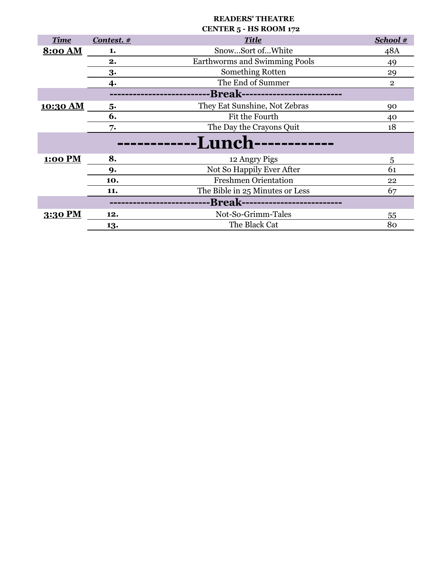|             |              | 110100011177                      |                |
|-------------|--------------|-----------------------------------|----------------|
| <b>Time</b> | Contest. $#$ | <b>Title</b>                      | School #       |
| 8:00 AM     | 1.           | SnowSort ofWhite                  | 48A            |
|             | 2.           | Earthworms and Swimming Pools     | 49             |
|             | 3.           | Something Rotten                  | 29             |
|             | 4.           | The End of Summer                 | $\overline{2}$ |
|             |              | -Break--------------------------  |                |
| 10:30 AM    | 5.           | They Eat Sunshine, Not Zebras     | 90             |
|             | 6.           | Fit the Fourth                    | 40             |
|             | 7.           | The Day the Crayons Quit          | 18             |
|             |              | <b>-Lunch-</b>                    |                |
| 1:00 PM     | 8.           | 12 Angry Pigs                     | 5              |
|             | 9.           | Not So Happily Ever After         | 61             |
|             | 10.          | <b>Freshmen Orientation</b>       | 22             |
|             | 11.          | The Bible in 25 Minutes or Less   | 67             |
|             |              | -Break--------------------------- |                |
| 3:30 PM     | 12.          | Not-So-Grimm-Tales                | 55             |
|             | 13.          | The Black Cat                     | 80             |

## **READERS' THEATRE CENTER 5 - HS ROOM 172**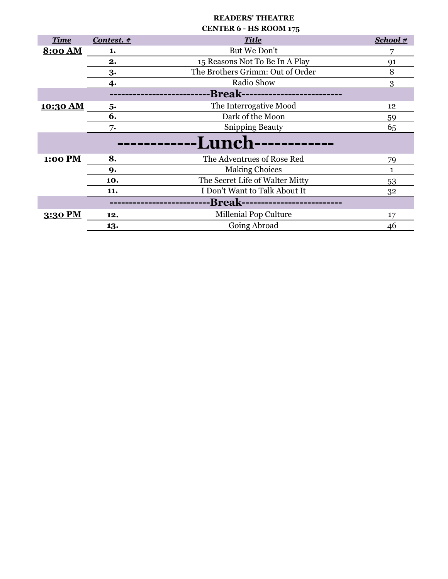|                 |            | <b>CENTER 6 - HS ROOM 175</b>     |          |
|-----------------|------------|-----------------------------------|----------|
| <b>Time</b>     | Contest. # | <b>Title</b>                      | School # |
| <b>8:00 AM</b>  | 1.         | But We Don't                      | 7        |
|                 | 2.         | 15 Reasons Not To Be In A Play    | 91       |
|                 | 3.         | The Brothers Grimm: Out of Order  | 8        |
|                 | 4.         | Radio Show                        | 3        |
|                 |            | -Break--------------------------- |          |
| <u>10:30 AM</u> | 5.         | The Interrogative Mood            | 12       |
|                 | 6.         | Dark of the Moon                  | 59       |
|                 | 7.         | <b>Snipping Beauty</b>            | 65       |
|                 |            | <b>-Lunch-</b>                    |          |
| 1:00 PM         | 8.         | The Adventrues of Rose Red        | 79       |
|                 | 9.         | <b>Making Choices</b>             | 1        |
|                 | 10.        | The Secret Life of Walter Mitty   | 53       |
|                 | 11.        | I Don't Want to Talk About It     | 32       |
|                 |            | -Break------------------------    |          |
| 3:30 PM         | 12.        | Millenial Pop Culture             | 17       |
|                 | 13.        | Going Abroad                      | 46       |

**READERS' THEATRE**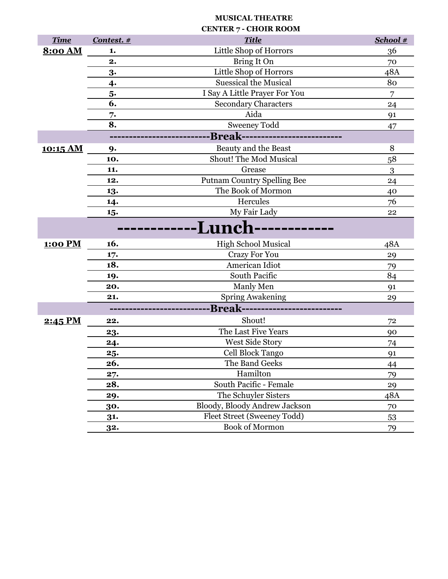# **MUSICAL THEATRE**

| <b>Time</b>    | Contest. # | <b>Title</b>                       | School # |
|----------------|------------|------------------------------------|----------|
| <b>8:00 AM</b> | 1.         | Little Shop of Horrors             | 36       |
|                | 2.         | Bring It On                        | 70       |
|                | 3.         | Little Shop of Horrors             | 48A      |
|                | 4.         | <b>Suessical the Musical</b>       | 80       |
|                | 5.         | I Say A Little Prayer For You      | 7        |
|                | 6.         | <b>Secondary Characters</b>        | 24       |
|                | 7.         | Aida                               | 91       |
|                | 8.         | <b>Sweeney Todd</b>                | 47       |
|                |            | -Break---------------------------  |          |
| 10:15 AM       | 9.         | Beauty and the Beast               | 8        |
|                | 10.        | Shout! The Mod Musical             | 58       |
|                | 11.        | Grease                             | 3        |
|                | 12.        | <b>Putnam Country Spelling Bee</b> | 24       |
|                | 13.        | The Book of Mormon                 | 40       |
|                | 14.        | Hercules                           | 76       |
|                | 15.        | My Fair Lady                       | 22       |
|                |            | -Lunch                             |          |
| <b>1:00 PM</b> | 16.        | <b>High School Musical</b>         | 48A      |
|                | 17.        | <b>Crazy For You</b>               | 29       |
|                | 18.        | American Idiot                     | 79       |
|                | 19.        | South Pacific                      | 84       |
|                | 20.        | Manly Men                          | 91       |
|                | 21.        | <b>Spring Awakening</b>            | 29       |
|                |            | -Break--------------------------   |          |
| 2:45 PM        | 22.        | Shout!                             | 72       |
|                | 23.        | The Last Five Years                | 90       |
|                | 24.        | West Side Story                    | 74       |
|                | 25.        | Cell Block Tango                   | 91       |
|                | 26.        | The Band Geeks                     | 44       |
|                | 27.        | Hamilton                           | 79       |
|                | 28.        | South Pacific - Female             | 29       |
|                | 29.        | The Schuyler Sisters               | 48A      |
|                | 30.        | Bloody, Bloody Andrew Jackson      | 70       |
|                | 31.        | Fleet Street (Sweeney Todd)        | 53       |
|                | 32.        | <b>Book of Mormon</b>              | 79       |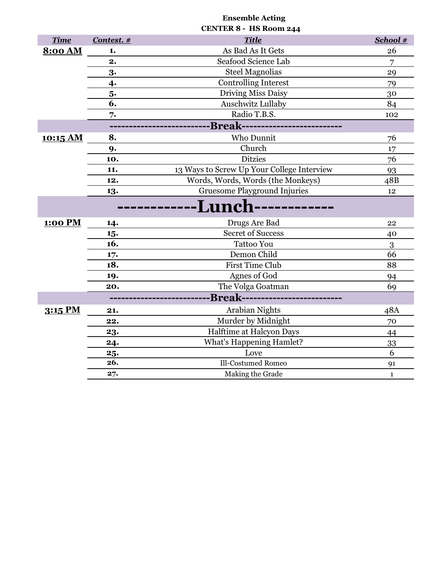|                |            | CENTER 8 - HS Room 244                     |              |
|----------------|------------|--------------------------------------------|--------------|
| <b>Time</b>    | Contest. # | <b>Title</b>                               | School #     |
| <b>8:00 AM</b> | 1.         | As Bad As It Gets                          | 26           |
|                | 2.         | Seafood Science Lab                        | 7            |
|                | 3.         | <b>Steel Magnolias</b>                     | 29           |
|                | 4.         | <b>Controlling Interest</b>                | 79           |
|                | 5.         | Driving Miss Daisy                         | 30           |
|                | 6.         | <b>Auschwitz Lullaby</b>                   | 84           |
|                | 7.         | Radio T.B.S.                               | 102          |
|                |            | -Break-------------------------            |              |
| 10:15 AM       | 8.         | Who Dunnit                                 | 76           |
|                | 9.         | Church                                     | 17           |
|                | 10.        | <b>Ditzies</b>                             | 76           |
|                | 11.        | 13 Ways to Screw Up Your College Interview | 93           |
|                | 12.        | Words, Words, Words (the Monkeys)          | 48B          |
|                | 13.        | <b>Gruesome Playground Injuries</b>        | 12           |
|                |            | <b>Lunc</b>                                |              |
| 1:00 PM        | 14.        | Drugs Are Bad                              | 22           |
|                | 15.        | <b>Secret of Success</b>                   | 40           |
|                | 16.        | <b>Tattoo You</b>                          | 3            |
|                | 17.        | Demon Child                                | 66           |
|                | 18.        | <b>First Time Club</b>                     | 88           |
|                | 19.        | Agnes of God                               | 94           |
|                | 20.        | The Volga Goatman                          | 69           |
|                |            | -Break--------------------------           |              |
| 3:15 PM        | 21.        | <b>Arabian Nights</b>                      | 48A          |
|                | 22.        | Murder by Midnight                         | 70           |
|                | 23.        | Halftime at Halcyon Days                   | 44           |
|                | 24.        | <b>What's Happening Hamlet?</b>            | 33           |
|                | 25.        | Love                                       | 6            |
|                | 26.        | Ill-Costumed Romeo                         | 91           |
|                | 27.        | Making the Grade                           | $\mathbf{1}$ |

**Ensemble Acting**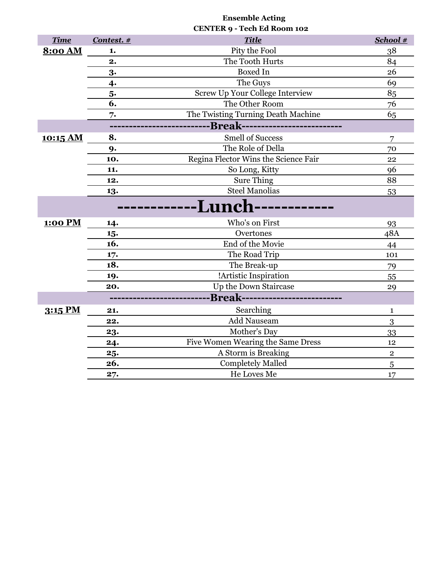|                 |            | <b>CENTER 9 - Tech Ed Room 102</b>     |             |
|-----------------|------------|----------------------------------------|-------------|
| <b>Time</b>     | Contest. # | <b>Title</b>                           | School #    |
| <b>8:00 AM</b>  | 1.         | Pity the Fool                          | 38          |
|                 | 2.         | The Tooth Hurts                        | 84          |
|                 | 3.         | <b>Boxed In</b>                        | 26          |
|                 | 4.         | The Guys                               | 69          |
|                 | 5.         | Screw Up Your College Interview        | 85          |
|                 | 6.         | The Other Room                         | 76          |
|                 | 7.         | The Twisting Turning Death Machine     | 65          |
|                 |            | -Break---------------------------      |             |
| <u>10:15 AM</u> | 8.         | <b>Smell of Success</b>                | 7           |
|                 | 9.         | The Role of Della                      | 70          |
|                 | 10.        | Regina Flector Wins the Science Fair   | 22          |
|                 | 11.        | So Long, Kitty                         | 96          |
|                 | 12.        | <b>Sure Thing</b>                      | 88          |
|                 | 13.        | <b>Steel Manolias</b>                  | 53          |
|                 |            | <b>-Lunch</b>                          |             |
|                 |            |                                        |             |
| <b>1:00 PM</b>  | 14.        | Who's on First                         | 93          |
|                 | 15.        | Overtones                              | 48A         |
|                 | 16.        | End of the Movie                       | 44          |
|                 | 17.        | The Road Trip                          | 101         |
|                 | 18.        | The Break-up                           | 79          |
|                 | 19.        | !Artistic Inspiration                  | 55          |
|                 | 20.        | Up the Down Staircase                  | 29          |
|                 |            | <b>Break--------------------------</b> |             |
| 3:15 PM         | 21.        | Searching                              | 1           |
|                 | 22.        | Add Nauseam                            | 3           |
|                 | 23.        | Mother's Day                           | 33          |
|                 | 24.        | Five Women Wearing the Same Dress      | 12          |
|                 | 25.        | A Storm is Breaking                    | $\mathbf 2$ |
|                 | 26.        | <b>Completely Malled</b>               | 5           |
|                 | 27.        | He Loves Me                            | 17          |

**Ensemble Acting**

I

I

I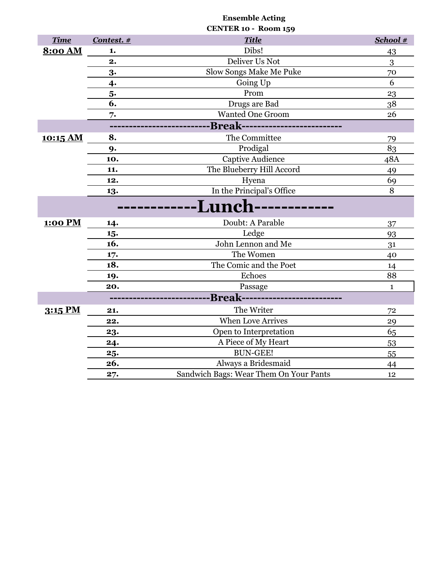|                |            | CENTER 10 - Room 159                    |              |
|----------------|------------|-----------------------------------------|--------------|
| <b>Time</b>    | Contest. # | <b>Title</b>                            | School #     |
| <b>8:00 AM</b> | 1.         | Dibs!                                   | 43           |
|                | 2.         | Deliver Us Not                          | 3            |
|                | 3.         | Slow Songs Make Me Puke                 | 70           |
|                | 4.         | Going Up                                | 6            |
|                | 5.         | Prom                                    | 23           |
|                | 6.         | Drugs are Bad                           | 38           |
|                | 7.         | <b>Wanted One Groom</b>                 | 26           |
|                |            | --------Break-------------------------- |              |
| 10:15 AM       | 8.         | The Committee                           | 79           |
|                | 9.         | Prodigal                                | 83           |
|                | 10.        | Captive Audience                        | 48A          |
|                | 11.        | The Blueberry Hill Accord               | 49           |
|                | 12.        | Hyena                                   | 69           |
|                | 13.        | In the Principal's Office               | 8            |
|                |            | <b>Lunc</b>                             |              |
| 1:00 PM        | 14.        | Doubt: A Parable                        | 37           |
|                | 15.        | Ledge                                   | 93           |
|                | 16.        | John Lennon and Me                      | 31           |
|                | 17.        | The Women                               | 40           |
|                | 18.        | The Comic and the Poet                  | 14           |
|                | 19.        | Echoes                                  | 88           |
|                | 20.        | Passage                                 | $\mathbf{1}$ |
|                |            | -Break--------------------------        |              |
| 3:15 PM        | 21.        | The Writer                              | 72           |
|                | 22.        | <b>When Love Arrives</b>                | 29           |
|                | 23.        | Open to Interpretation                  | 65           |
|                | 24.        | A Piece of My Heart                     | 53           |
|                | 25.        | <b>BUN-GEE!</b>                         | 55           |
|                | 26.        | Always a Bridesmaid                     | 44           |
|                | 27.        | Sandwich Bags: Wear Them On Your Pants  | 12           |

**Ensemble Acting**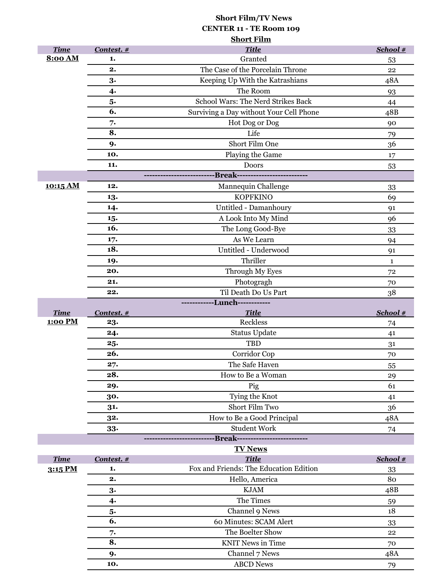# **Short Film/TV News CENTER 11 - TE Room 109 Short Film**

|                |              | лиот с тани                             |              |
|----------------|--------------|-----------------------------------------|--------------|
| <b>Time</b>    | Contest. $#$ | <b>Title</b>                            | School #     |
| 8:00 AM        | 1.           | Granted                                 | 53           |
|                | 2.           | The Case of the Porcelain Throne        | 22           |
|                | 3.           | Keeping Up With the Katrashians         | 48A          |
|                | 4.           | The Room                                | 93           |
|                | 5.           | School Wars: The Nerd Strikes Back      | 44           |
|                | 6.           | Surviving a Day without Your Cell Phone | 48B          |
|                | 7.           | Hot Dog or Dog                          | 90           |
|                | 8.           | Life                                    | 79           |
|                | 9.           | Short Film One                          | 36           |
|                | 10.          | Playing the Game                        | 17           |
|                | 11.          | Doors                                   | 53           |
|                |              | -Break--------------------------        |              |
| 10:15 AM       | 12.          | Mannequin Challenge                     | 33           |
|                | 13.          | <b>KOPFKINO</b>                         | 69           |
|                | 14.          | Untitled - Damanhoury                   | 91           |
|                | 15.          | A Look Into My Mind                     | 96           |
|                | 16.          | The Long Good-Bye                       | 33           |
|                | 17.          | As We Learn                             | 94           |
|                | 18.          | Untitled - Underwood                    | 91           |
|                | 19.          | Thriller                                | $\mathbf{1}$ |
|                | 20.          | Through My Eyes                         | 72           |
|                | 21.          | Photogragh                              | 70           |
|                | 22.          | Til Death Do Us Part                    | 38           |
|                |              | ------------Lunch------------           |              |
| <b>Time</b>    | Contest. #   | <b>Title</b>                            | School #     |
| <b>1:00 PM</b> | 23.          | Reckless                                | 74           |
|                | 24.          | <b>Status Update</b>                    | 41           |
|                | 25.          | <b>TBD</b>                              | 31           |
|                | 26.          | Corridor Cop                            | 70           |
|                | 27.          | The Safe Haven                          |              |
|                |              |                                         | 55           |
|                | 28.          | How to Be a Woman                       | 29           |
|                | 29.          | Pig                                     | 61           |
|                | 30.          | Tying the Knot                          | 41           |
|                | 31.          | Short Film Two                          | 36           |
|                | 32.          | How to Be a Good Principal              | 48A          |
|                | 33.          | <b>Student Work</b>                     | 74           |
|                |              | -----Break--------------------------    |              |
|                |              | <b>TV News</b>                          |              |
| <b>Time</b>    | Contest. $#$ | <b>Title</b>                            | School #     |
| 3:15 PM        | 1.           | Fox and Friends: The Education Edition  | 33           |
|                | 2.           | Hello, America                          | 80           |
|                | 3.           | <b>KJAM</b>                             | 48B          |
|                | 4.           | The Times                               | 59           |
|                | 5.           | Channel 9 News                          | 18           |
|                | 6.           | 60 Minutes: SCAM Alert                  | 33           |
|                | 7.           | The Boelter Show                        | 22           |
|                | 8.           | <b>KNIT News in Time</b>                | 70           |
|                | 9.           | Channel 7 News<br><b>ABCD News</b>      | 48A          |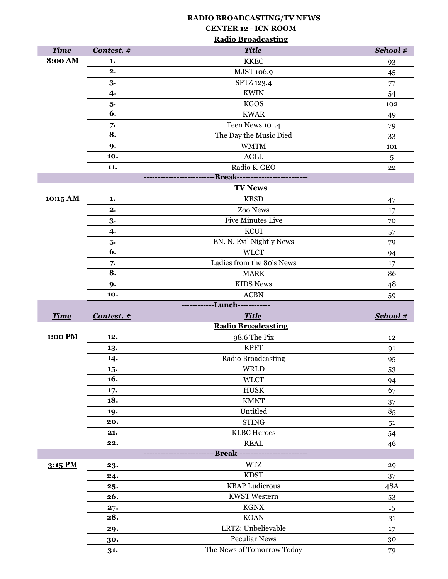|                |            | <b>Radio Broadcasting</b>                      |            |
|----------------|------------|------------------------------------------------|------------|
| <b>Time</b>    | Contest. # | <b>Title</b>                                   | School #   |
| 8:00 AM        | 1.         | <b>KKEC</b>                                    | 93         |
|                | 2.         | MJST 106.9                                     | 45         |
|                | 3.         | SPTZ 123.4                                     | 77         |
|                | 4.         | <b>KWIN</b>                                    | 54         |
|                | 5.         | <b>KGOS</b>                                    | 102        |
|                | 6.         | <b>KWAR</b>                                    | 49         |
|                | 7.         | Teen News 101.4                                | 79         |
|                | 8.         | The Day the Music Died                         | 33         |
|                | 9.         | <b>WMTM</b>                                    | 101        |
|                | 10.        | <b>AGLL</b>                                    | $\sqrt{5}$ |
|                | 11.        | Radio K-GEO                                    | 22         |
|                |            | ---------------Break-------------------------- |            |
|                |            | <b>TV News</b>                                 |            |
| 10:15 AM       | 1.         | <b>KBSD</b>                                    | 47         |
|                | 2.         | Zoo News                                       | 17         |
|                | 3.         | <b>Five Minutes Live</b>                       | 70         |
|                | $\ddagger$ | <b>KCUI</b>                                    | 57         |
|                | 5.         | EN. N. Evil Nightly News                       | 79         |
|                | 6.         | <b>WLCT</b>                                    | 94         |
|                | 7.         | Ladies from the 80's News                      | 17         |
|                | 8.         | <b>MARK</b>                                    | 86         |
|                | 9.         | <b>KIDS News</b>                               | 48         |
|                |            |                                                |            |
|                | 10.        | <b>ACBN</b>                                    | 59         |
|                |            | ------------Lunch------------                  |            |
| <b>Time</b>    | Contest. # | <b>Title</b>                                   | School #   |
|                |            | <b>Radio Broadcasting</b>                      |            |
| <b>1:00 PM</b> | 12.        | 98.6 The Pix                                   | 12         |
|                | 13.        | <b>KPET</b>                                    | 91         |
|                | 14.        | Radio Broadcasting                             | 95         |
|                | 15.        | <b>WRLD</b>                                    | 53         |
|                | 16.        | <b>WLCT</b>                                    | 94         |
|                | 17.        | <b>HUSK</b>                                    | 67         |
|                | 18.        | <b>KMNT</b>                                    | 37         |
|                | 19.        | Untitled                                       | 85         |
|                | 20.        | <b>STING</b>                                   | 51         |
|                | 21.        | <b>KLBC</b> Heroes                             | 54         |
|                | 22.        | <b>REAL</b>                                    | 46         |
|                |            | -----------Break------------                   |            |
| 3:15 PM        | 23.        | <b>WTZ</b>                                     | 29         |
|                | 24.        | <b>KDST</b>                                    | 37         |
|                | 25.        | <b>KBAP</b> Ludicrous                          | 48A        |
|                | 26.        | <b>KWST Western</b>                            | 53         |
|                | 27.<br>28. | <b>KGNX</b>                                    | 15         |
|                |            | <b>KOAN</b><br>LRTZ: Unbelievable              | 31         |
|                | 29.<br>30. | <b>Peculiar News</b>                           | 17<br>30   |

**RADIO BROADCASTING/TV NEWS**

**CENTER 12 - ICN ROOM**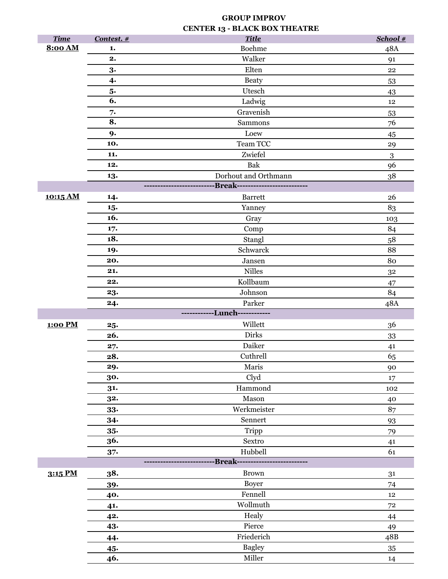# **GROUP IMPROV CENTER 13 - BLACK BOX THEATRE**

| <b>Time</b>    | Contest. # | <b>Title</b>                  | School #   |
|----------------|------------|-------------------------------|------------|
| 8:00 AM        | 1.         | <b>Boehme</b>                 | 48A        |
|                | 2.         | Walker                        | 91         |
|                | 3.         | Elten                         | ${\bf 22}$ |
|                | $\ddot{4}$ | <b>Beaty</b>                  |            |
|                | 5.         | Utesch                        | 53         |
|                | 6.         | Ladwig                        | 43<br>12   |
|                | 7.         | Gravenish                     | 53         |
|                | 8.         | Sammons                       | 76         |
|                | 9.         | Loew                          |            |
|                | 10.        | Team TCC                      | 45<br>29   |
|                | 11.        | Zwiefel                       | $\sqrt{3}$ |
|                | 12.        | Bak                           | 96         |
|                | 13.        | Dorhout and Orthmann          | $38\,$     |
|                |            | <b>Break-----------</b>       |            |
| 10:15 AM       | 14.        | <b>Barrett</b>                | 26         |
|                | 15.        | Yanney                        | 83         |
|                | 16.        | Gray                          | 103        |
|                | 17.        | Comp                          | 84         |
|                | 18.        | Stangl                        | 58         |
|                | 19.        | Schwarck                      | 88         |
|                | 20.        | ${\it Jansen}$                | 80         |
|                | 21.        | <b>Nilles</b>                 | 32         |
|                | 22.        | Kollbaum                      | 47         |
|                | 23.        | Johnson                       | 84         |
|                | 24.        | Parker                        | 48A        |
|                |            | ------------Lunch------------ |            |
| <b>1:00 PM</b> | 25.        | Willett                       | 36         |
|                | 26.        | <b>Dirks</b>                  | 33         |
|                | 27.        | Daiker                        | 41         |
|                | 28.        | Cuthrell                      | 65         |
|                | 29.        | Maris                         | 90         |
|                | 30.        | Clyd                          | 17         |
|                | 31.        | Hammond                       | 102        |
|                | 32.        | Mason                         | 40         |
|                | $33-$      | Werkmeister                   | 87         |
|                | 34.        | Sennert                       | 93         |
|                | $35-$      | Tripp                         | 79         |
|                | 36.        | Sextro                        | 41         |
|                | $37 -$     | Hubbell                       | 61         |
|                |            | -Break--------                |            |
| 3:15 PM        | 38.        | <b>Brown</b>                  | 31         |
|                | 39.        | <b>Boyer</b>                  | 74         |
|                | 40.        | Fennell                       | 12         |
|                | 41.        | Wollmuth                      | $72\,$     |
|                | 42.        | Healy                         | 44         |
|                | 43.        | Pierce                        | 49         |
|                | 44.        | Friederich                    | 48B        |
|                | 45.        | <b>Bagley</b>                 | 35         |
|                | 46.        | Miller                        | 14         |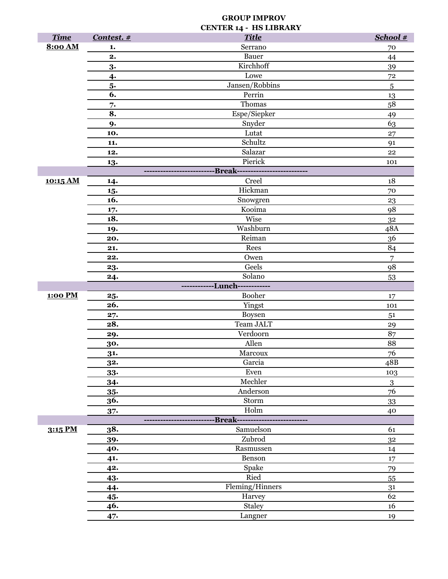### **GROUP IMPROV CENTER 14 - HS LIBRARY**

| <b>Time</b>    | Contest. # | <b>Title</b>         | School #         |
|----------------|------------|----------------------|------------------|
| 8:00 AM        | 1.         | Serrano              | 70               |
|                | 2.         | Bauer                | 44               |
|                | 3.         | Kirchhoff            | 39               |
|                | 4.         | Lowe                 | 72               |
|                | 5.         | Jansen/Robbins       | 5                |
|                | 6.         | Perrin               | 13               |
|                | 7.         | Thomas               | 58               |
|                | 8.         | Espe/Siepker         | 49               |
|                | 9.         | Snyder               | 63               |
|                | 10.        | Lutat                | 27               |
|                | 11.        | Schultz              | 91               |
|                | 12.        | Salazar              | 22               |
|                | 13.        | Pierick              | 101              |
|                |            | -----Break---------- |                  |
| 10:15 AM       | 14.        | Creel                | 18               |
|                | 15.        | Hickman              | 70               |
|                | 16.        | Snowgren             | 23               |
|                | 17.        | Kooima               | 98               |
|                | 18.        | Wise                 | 32               |
|                | 19.        | Washburn             | 48A              |
|                | 20.        | Reiman               | 36               |
|                | 21.        | Rees                 | 84               |
|                | 22.        | Owen                 | $\overline{7}$   |
|                | 23.        | Geels                | 98               |
|                | 24.        | Solano               | 53               |
|                |            | ---Lunch-            |                  |
| <b>1:00 PM</b> | 25.        | <b>Booher</b>        | 17               |
|                | 26.        | Yingst               | 101              |
|                | 27.        | Boysen               | 51               |
|                | 28.        | Team JALT            | 29               |
|                | 29.        | Verdoorn             | 87               |
|                | 30.        | Allen                | 88               |
|                | 31.        | Marcoux              | 76               |
|                | 32.        | Garcia               | 48B              |
|                | $33-$      | Even                 | 103              |
|                | 34.        | Mechler              | $\boldsymbol{3}$ |
|                | $35-$      | Anderson             | 76               |
|                | 36.        | Storm                | 33               |
|                | $37 -$     | Holm                 | 40               |
|                |            | <b>Break-------</b>  |                  |
| 3:15 PM        | 38.        | Samuelson            | 61               |
|                | 39.        | Zubrod               | 3 <sup>2</sup>   |
|                | 40.        | Rasmussen            | 14               |
|                | 41.        | Benson               | 17               |
|                | 42.        | Spake                | 79               |
|                | 43.        | Ried                 | 55               |
|                | 44.        | Fleming/Hinners      | 31               |
|                | 45.        | Harvey               | 62               |
|                | 46.        | Staley               | 16               |
|                | 47.        | Langner              | 19               |